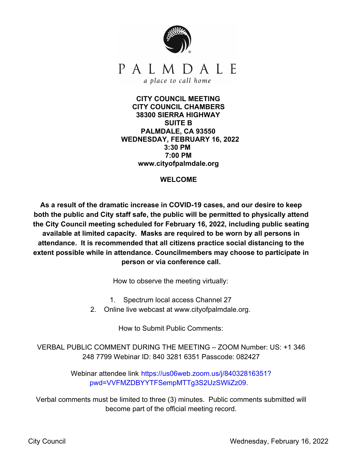

**CITY COUNCIL MEETING CITY COUNCIL CHAMBERS 38300 SIERRA HIGHWAY SUITE B PALMDALE, CA 93550 WEDNESDAY, FEBRUARY 16, 2022 3:30 PM 7:00 PM www.cityofpalmdale.org**

### **WELCOME**

**As a result of the dramatic increase in COVID-19 cases, and our desire to keep both the public and City staff safe, the public will be permitted to physically attend the City Council meeting scheduled for February 16, 2022, including public seating available at limited capacity. Masks are required to be worn by all persons in attendance. It is recommended that all citizens practice social distancing to the extent possible while in attendance. Councilmembers may choose to participate in person or via conference call.**

How to observe the meeting virtually:

1. Spectrum local access Channel 27

2. Online live webcast at www.cityofpalmdale.org.

How to Submit Public Comments:

VERBAL PUBLIC COMMENT DURING THE MEETING – ZOOM Number: US: +1 346 248 7799 Webinar ID: 840 3281 6351 Passcode: 082427

> Webinar attendee link https://us06web.zoom.us/j/84032816351? pwd=VVFMZDBYYTFSempMTTg3S2UzSWliZz09.

Verbal comments must be limited to three (3) minutes. Public comments submitted will become part of the official meeting record.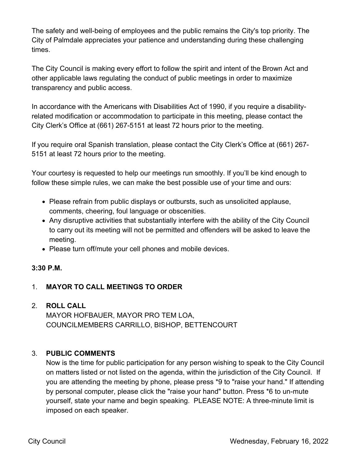The safety and well-being of employees and the public remains the City's top priority. The City of Palmdale appreciates your patience and understanding during these challenging times.

The City Council is making every effort to follow the spirit and intent of the Brown Act and other applicable laws regulating the conduct of public meetings in order to maximize transparency and public access.

In accordance with the Americans with Disabilities Act of 1990, if you require a disabilityrelated modification or accommodation to participate in this meeting, please contact the City Clerk's Office at (661) 267-5151 at least 72 hours prior to the meeting.

If you require oral Spanish translation, please contact the City Clerk's Office at (661) 267- 5151 at least 72 hours prior to the meeting.

Your courtesy is requested to help our meetings run smoothly. If you'll be kind enough to follow these simple rules, we can make the best possible use of your time and ours:

- Please refrain from public displays or outbursts, such as unsolicited applause, comments, cheering, foul language or obscenities.
- Any disruptive activities that substantially interfere with the ability of the City Council to carry out its meeting will not be permitted and offenders will be asked to leave the meeting.
- Please turn off/mute your cell phones and mobile devices.

## **3:30 P.M.**

# 1. **MAYOR TO CALL MEETINGS TO ORDER**

### 2. **ROLL CALL**

MAYOR HOFBAUER, MAYOR PRO TEM LOA, COUNCILMEMBERS CARRILLO, BISHOP, BETTENCOURT

## 3. **PUBLIC COMMENTS**

Now is the time for public participation for any person wishing to speak to the City Council on matters listed or not listed on the agenda, within the jurisdiction of the City Council. If you are attending the meeting by phone, please press \*9 to "raise your hand." If attending by personal computer, please click the "raise your hand" button. Press \*6 to un-mute yourself, state your name and begin speaking. PLEASE NOTE: A three-minute limit is imposed on each speaker.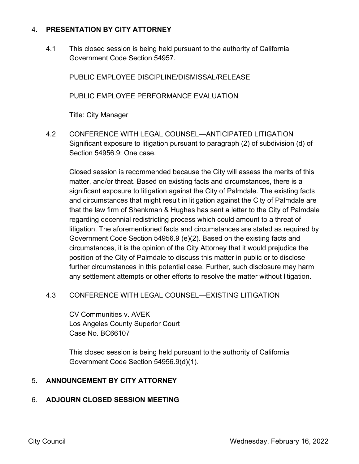## 4. **PRESENTATION BY CITY ATTORNEY**

4.1 This closed session is being held pursuant to the authority of California Government Code Section 54957.

PUBLIC EMPLOYEE DISCIPLINE/DISMISSAL/RELEASE

PUBLIC EMPLOYEE PERFORMANCE EVALUATION

Title: City Manager

4.2 CONFERENCE WITH LEGAL COUNSEL—ANTICIPATED LITIGATION Significant exposure to litigation pursuant to paragraph (2) of subdivision (d) of Section 54956.9: One case.

Closed session is recommended because the City will assess the merits of this matter, and/or threat. Based on existing facts and circumstances, there is a significant exposure to litigation against the City of Palmdale. The existing facts and circumstances that might result in litigation against the City of Palmdale are that the law firm of Shenkman & Hughes has sent a letter to the City of Palmdale regarding decennial redistricting process which could amount to a threat of litigation. The aforementioned facts and circumstances are stated as required by Government Code Section 54956.9 (e)(2). Based on the existing facts and circumstances, it is the opinion of the City Attorney that it would prejudice the position of the City of Palmdale to discuss this matter in public or to disclose further circumstances in this potential case. Further, such disclosure may harm any settlement attempts or other efforts to resolve the matter without litigation.

## 4.3 CONFERENCE WITH LEGAL COUNSEL—EXISTING LITIGATION

CV Communities v. AVEK Los Angeles County Superior Court Case No. BC66107

This closed session is being held pursuant to the authority of California Government Code Section 54956.9(d)(1).

## 5. **ANNOUNCEMENT BY CITY ATTORNEY**

## 6. **ADJOURN CLOSED SESSION MEETING**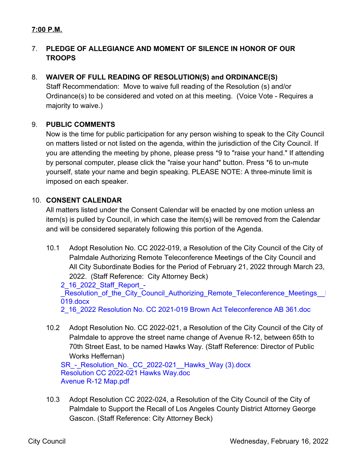# **7:00 P.M.**

# 7. **PLEDGE OF ALLEGIANCE AND MOMENT OF SILENCE IN HONOR OF OUR TROOPS**

# 8. **WAIVER OF FULL READING OF RESOLUTION(S) and ORDINANCE(S)**

Staff Recommendation: Move to waive full reading of the Resolution (s) and/or Ordinance(s) to be considered and voted on at this meeting. (Voice Vote - Requires a majority to waive.)

### 9. **PUBLIC COMMENTS**

Now is the time for public participation for any person wishing to speak to the City Council on matters listed or not listed on the agenda, within the jurisdiction of the City Council. If you are attending the meeting by phone, please press \*9 to "raise your hand." If attending by personal computer, please click the "raise your hand" button. Press \*6 to un-mute yourself, state your name and begin speaking. PLEASE NOTE: A three-minute limit is imposed on each speaker.

## 10. **CONSENT CALENDAR**

All matters listed under the Consent Calendar will be enacted by one motion unless an item(s) is pulled by Council, in which case the item(s) will be removed from the Calendar and will be considered separately following this portion of the Agenda.

10.1 Adopt Resolution No. CC 2022-019, a Resolution of the City Council of the City of Palmdale Authorizing Remote Teleconference Meetings of the City Council and All City Subordinate Bodies for the Period of February 21, 2022 through March 23, 2022. (Staff Reference: City Attorney Beck)

#### 2\_16\_2022\_Staff\_Report\_- Resolution of the City Council Authorizing Remote Teleconference Meetings 019.docx

2\_16\_2022 Resolution No. CC 2021-019 Brown Act Teleconference AB 361.doc

10.2 Adopt Resolution No. CC 2022-021, a Resolution of the City Council of the City of Palmdale to approve the street name change of Avenue R-12, between 65th to 70th Street East, to be named Hawks Way. (Staff Reference: Director of Public Works Heffernan)

SR - Resolution No. CC 2022-021 Hawks Way (3).docx Resolution CC 2022-021 Hawks Way.doc Avenue R-12 Map.pdf

10.3 Adopt Resolution CC 2022-024, a Resolution of the City Council of the City of Palmdale to Support the Recall of Los Angeles County District Attorney George Gascon. (Staff Reference: City Attorney Beck)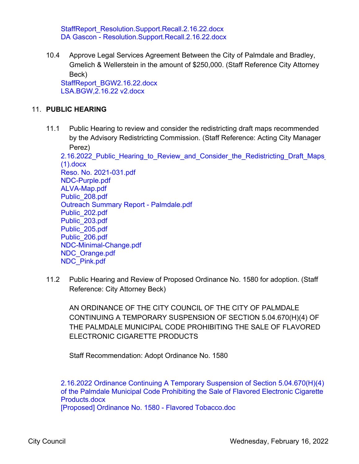StaffReport\_Resolution.Support.Recall.2.16.22.docx DA Gascon - Resolution.Support.Recall.2.16.22.docx

10.4 Approve Legal Services Agreement Between the City of Palmdale and Bradley, Gmelich & Wellerstein in the amount of \$250,000. (Staff Reference City Attorney Beck) StaffReport\_BGW2.16.22.docx

LSA.BGW,2.16.22 v2.docx

### 11. **PUBLIC HEARING**

11.1 Public Hearing to review and consider the redistricting draft maps recommended by the Advisory Redistricting Commission. (Staff Reference: Acting City Manager Perez)

2.16.2022 Public\_Hearing\_to\_Review\_and\_Consider\_the\_Redistricting\_Draft\_Maps<sub>\_</sub> (1).docx Reso. No. 2021-031.pdf NDC-Purple.pdf ALVA-Map.pdf Public\_208.pdf Outreach Summary Report - Palmdale.pdf Public\_202.pdf Public\_203.pdf Public\_205.pdf Public\_206.pdf NDC-Minimal-Change.pdf NDC\_Orange.pdf NDC\_Pink.pdf

11.2 Public Hearing and Review of Proposed Ordinance No. 1580 for adoption. (Staff Reference: City Attorney Beck)

AN ORDINANCE OF THE CITY COUNCIL OF THE CITY OF PALMDALE CONTINUING A TEMPORARY SUSPENSION OF SECTION 5.04.670(H)(4) OF THE PALMDALE MUNICIPAL CODE PROHIBITING THE SALE OF FLAVORED ELECTRONIC CIGARETTE PRODUCTS

Staff Recommendation: Adopt Ordinance No. 1580

2.16.2022 Ordinance Continuing A Temporary Suspension of Section 5.04.670(H)(4) of the Palmdale Municipal Code Prohibiting the Sale of Flavored Electronic Cigarette Products.docx

[Proposed] Ordinance No. 1580 - Flavored Tobacco.doc